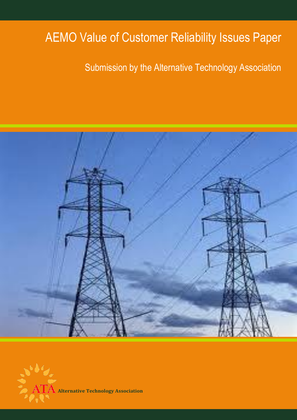# AEMO Value of Customer Reliability Issues Paper

## Submission by the Alternative Technology Association



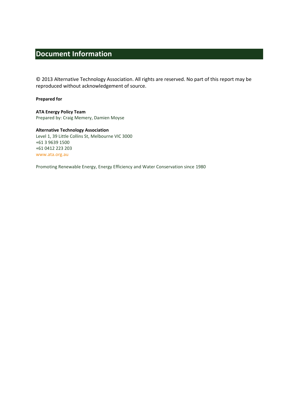## <span id="page-1-0"></span>**Document Information**

© 2013 Alternative Technology Association. All rights are reserved. No part of this report may be reproduced without acknowledgement of source.

#### **Prepared for**

**ATA Energy Policy Team** Prepared by: Craig Memery, Damien Moyse

**Alternative Technology Association** Level 1, 39 Little Collins St, Melbourne VIC 3000 +61 3 9639 1500 +61 0412 223 203 [www.ata.org.au](file://ataserv02/files/7%20Policy%20and%20Projects/Energy/Reference%20Docs/www.ata.org.au)

Promoting Renewable Energy, Energy Efficiency and Water Conservation since 1980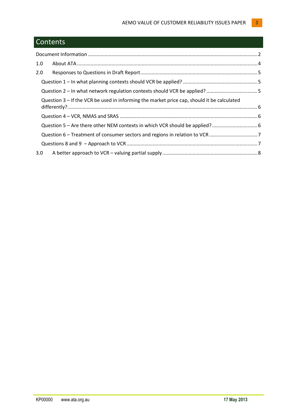## **Contents**

| 1.0                                                                                        |  |
|--------------------------------------------------------------------------------------------|--|
| 2.0                                                                                        |  |
|                                                                                            |  |
|                                                                                            |  |
| Question 3 - If the VCR be used in informing the market price cap, should it be calculated |  |
|                                                                                            |  |
|                                                                                            |  |
|                                                                                            |  |
|                                                                                            |  |
| 3.0 <sub>2</sub>                                                                           |  |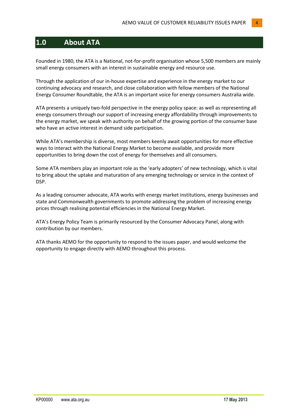## <span id="page-3-0"></span>**1.0 About ATA**

Founded in 1980, the ATA is a National, not-for-profit organisation whose 5,500 members are mainly small energy consumers with an interest in sustainable energy and resource use.

Through the application of our in-house expertise and experience in the energy market to our continuing advocacy and research, and close collaboration with fellow members of the National Energy Consumer Roundtable, the ATA is an important voice for energy consumers Australia wide.

ATA presents a uniquely two-fold perspective in the energy policy space: as well as representing all energy consumers through our support of increasing energy affordability through improvements to the energy market, we speak with authority on behalf of the growing portion of the consumer base who have an active interest in demand side participation.

While ATA's membership is diverse, most members keenly await opportunities for more effective ways to interact with the National Energy Market to become available, and provide more opportunities to bring down the cost of energy for themselves and all consumers.

Some ATA members play an important role as the 'early adopters' of new technology, which is vital to bring about the uptake and maturation of any emerging technology or service in the context of DSP.

As a leading consumer advocate, ATA works with energy market institutions, energy businesses and state and Commonwealth governments to promote addressing the problem of increasing energy prices through realising potential efficiencies in the National Energy Market.

ATA's Energy Policy Team is primarily resourced by the Consumer Advocacy Panel, along with contribution by our members.

ATA thanks AEMO for the opportunity to respond to the issues paper, and would welcome the opportunity to engage directly with AEMO throughout this process.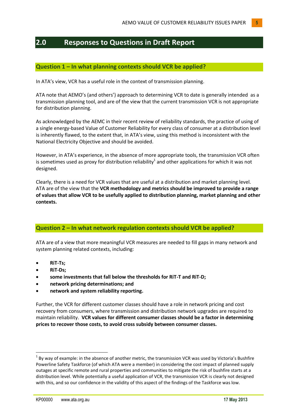### <span id="page-4-0"></span>**2.0 Responses to Questions in Draft Report**

#### <span id="page-4-1"></span>**Question 1 – In what planning contexts should VCR be applied?**

In ATA's view, VCR has a useful role in the context of transmission planning.

ATA note that AEMO's (and others') approach to determining VCR to date is generally intended as a transmission planning tool, and are of the view that the current transmission VCR is not appropriate for distribution planning.

As acknowledged by the AEMC in their recent review of reliability standards, the practice of using of a single energy-based Value of Customer Reliability for every class of consumer at a distribution level is inherently flawed, to the extent that, in ATA's view, using this method is inconsistent with the National Electricity Objective and should be avoided.

However, in ATA's experience, in the absence of more appropriate tools, the transmission VCR often is sometimes used as proxy for distribution reliability<sup>1</sup> and other applications for which it was not designed.

Clearly, there is a need for VCR values that are useful at a distribution and market planning level. ATA are of the view that the **VCR methodology and metrics should be improved to provide a range of values that allow VCR to be usefully applied to distribution planning, market planning and other contexts.**

#### <span id="page-4-2"></span>**Question 2 – In what network regulation contexts should VCR be applied?**

ATA are of a view that more meaningful VCR measures are needed to fill gaps in many network and system planning related contexts, including:

- **RiT-Ts;**
- **RiT-Ds;**

**.** 

- **some investments that fall below the thresholds for RiT-T and RiT-D;**
- **network pricing determinations; and**
- **network and system reliability reporting.**

Further, the VCR for different customer classes should have a role in network pricing and cost recovery from consumers, where transmission and distribution network upgrades are required to maintain reliability. **VCR values for different consumer classes should be a factor in determining prices to recover those costs, to avoid cross subsidy between consumer classes.**

 $<sup>1</sup>$  By way of example: in the absence of another metric, the transmission VCR was used by Victoria's Bushfire</sup> Powerline Safety Taskforce (of which ATA were a member) in considering the cost impact of planned supply outages at specific remote and rural properties and communities to mitigate the risk of bushfire starts at a distribution level. While potentially a useful application of VCR, the transmission VCR is clearly not designed with this, and so our confidence in the validity of this aspect of the findings of the Taskforce was low.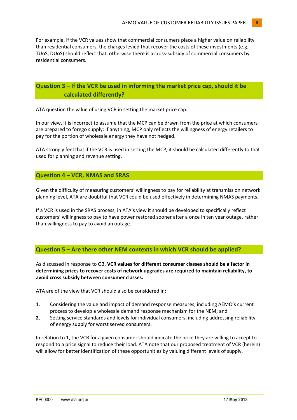For example, if the VCR values show that commercial consumers place a higher value on reliability than residential consumers, the charges levied that recover the costs of these investments (e.g. TUoS, DUoS) should reflect that, otherwise there is a cross-subsidy of commercial consumers by residential consumers.

#### <span id="page-5-0"></span>**Question 3 – If the VCR be used in informing the market price cap, should it be calculated differently?**

ATA question the value of using VCR in setting the market price cap.

In our view, it is incorrect to assume that the MCP can be drawn from the price at which consumers are prepared to forego supply: if anything, MCP only reflects the willingness of energy retailers to pay for the portion of wholesale energy they have not hedged.

ATA strongly feel that if the VCR is used in setting the MCP, it should be calculated differently to that used for planning and revenue setting.

#### <span id="page-5-1"></span>**Question 4 – VCR, NMAS and SRAS**

Given the difficulty of measuring customers' willingness to pay for reliability at transmission network planning level, ATA are doubtful that VCR could be used effectively in determining NMAS payments.

If a VCR is used in the SRAS process, in ATA's view it should be developed to specifically reflect customers' willingness to pay to have power restored sooner after a once in ten year outage, rather than willingness to pay to avoid an outage.

#### <span id="page-5-2"></span>**Question 5 – Are there other NEM contexts in which VCR should be applied?**

As discussed in response to Q3, **VCR values for different consumer classes should be a factor in determining prices to recover costs of network upgrades are required to maintain reliability, to avoid cross subsidy between consumer classes.**

ATA are of the view that VCR should also be considered in:

- 1. Considering the value and impact of demand response measures, including AEMO's current process to develop a wholesale demand response mechanism for the NEM; and
- **2.** Setting service standards and levels for individual consumers, including addressing reliability of energy supply for worst served consumers.

In relation to 1, the VCR for a given consumer should indicate the price they are willing to accept to respond to a price signal to reduce their load. ATA note that our proposed treatment of VCR (herein) will allow for better identification of these opportunities by valuing different levels of supply.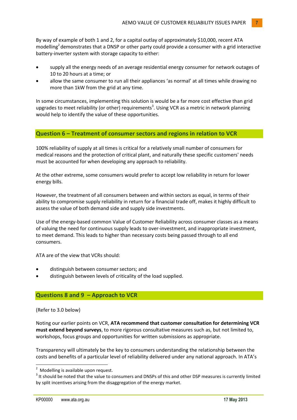By way of example of both 1 and 2, for a capital outlay of approximately \$10,000, recent ATA modelling<sup>2</sup> demonstrates that a DNSP or other party could provide a consumer with a grid interactive battery-inverter system with storage capacity to either:

- supply all the energy needs of an average residential energy consumer for network outages of 10 to 20 hours at a time; or
- allow the same consumer to run all their appliances 'as normal' at all times while drawing no more than 1kW from the grid at any time.

In some circumstances, implementing this solution is would be a far more cost effective than grid upgrades to meet reliability (or other) requirements<sup>3</sup>. Using VCR as a metric in network planning would help to identify the value of these opportunities.

#### <span id="page-6-0"></span>**Question 6 – Treatment of consumer sectors and regions in relation to VCR**

100% reliability of supply at all times is critical for a relatively small number of consumers for medical reasons and the protection of critical plant, and naturally these specific customers' needs must be accounted for when developing any approach to reliability.

At the other extreme, some consumers would prefer to accept low reliability in return for lower energy bills.

However, the treatment of all consumers between and within sectors as equal, in terms of their ability to compromise supply reliability in return for a financial trade off, makes it highly difficult to assess the value of both demand side and supply side investments.

Use of the energy-based common Value of Customer Reliability across consumer classes as a means of valuing the need for continuous supply leads to over-investment, and inappropriate investment, to meet demand. This leads to higher than necessary costs being passed through to all end consumers.

ATA are of the view that VCRs should:

- distinguish between consumer sectors; and
- distinguish between levels of criticality of the load supplied.

#### <span id="page-6-1"></span>**Questions 8 and 9 – Approach to VCR**

(Refer to 3.0 below)

**.** 

Noting our earlier points on VCR, **ATA recommend that customer consultation for determining VCR must extend beyond surveys**, to more rigorous consultative measures such as, but not limited to, workshops, focus groups and opportunities for written submissions as appropriate.

Transparency will ultimately be the key to consumers understanding the relationship between the costs and benefits of a particular level of reliability delivered under any national approach. In ATA's

<sup>&</sup>lt;sup>2</sup> Modelling is available upon request.

 $3$  It should be noted that the value to consumers and DNSPs of this and other DSP measures is currently limited by split incentives arising from the disaggregation of the energy market.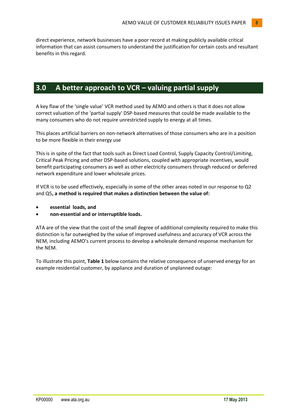direct experience, network businesses have a poor record at making publicly available critical information that can assist consumers to understand the justification for certain costs and resultant benefits in this regard.

## <span id="page-7-0"></span>**3.0 A better approach to VCR – valuing partial supply**

A key flaw of the 'single value' VCR method used by AEMO and others is that it does not allow correct valuation of the 'partial supply' DSP-based measures that could be made available to the many consumers who do not require unrestricted supply to energy at all times.

This places artificial barriers on non-network alternatives of those consumers who are in a position to be more flexible in their energy use

This is in spite of the fact that tools such as Direct Load Control, Supply Capacity Control/Limiting, Critical Peak Pricing and other DSP-based solutions, coupled with appropriate incentives, would benefit participating consumers as well as other electricity consumers through reduced or deferred network expenditure and lower wholesale prices.

If VCR is to be used effectively, especially in some of the other areas noted in our response to Q2 and Q5**, a method is required that makes a distinction between the value of:**

- **essential loads, and**
- **non-essential and or interruptible loads.**

ATA are of the view that the cost of the small degree of additional complexity required to make this distinction is far outweighed by the value of improved usefulness and accuracy of VCR across the NEM, including AEMO's current process to develop a wholesale demand response mechanism for the NEM.

To illustrate this point, **Table 1** below contains the relative consequence of unserved energy for an example residential customer, by appliance and duration of unplanned outage: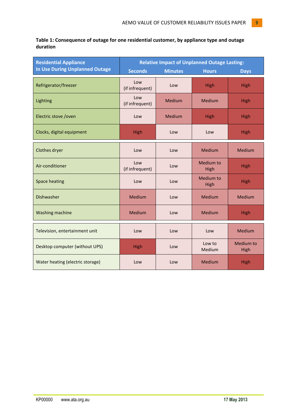**Table 1: Consequence of outage for one residential customer, by appliance type and outage duration**

| <b>Residential Appliance</b>          | <b>Relative Impact of Unplanned Outage Lasting:</b> |                |                   |                   |
|---------------------------------------|-----------------------------------------------------|----------------|-------------------|-------------------|
| <b>In Use During Unplanned Outage</b> | <b>Seconds</b>                                      | <b>Minutes</b> | <b>Hours</b>      | <b>Days</b>       |
| Refrigerator/freezer                  | Low<br>(if infrequent)                              | Low            | High              | High              |
| Lighting                              | Low<br>(if infrequent)                              | <b>Medium</b>  | <b>Medium</b>     | High              |
| Electric stove / oven                 | Low                                                 | <b>Medium</b>  | High              | High              |
| Clocks, digital equipment             | High                                                | Low            | Low               | High              |
| Clothes dryer                         | Low                                                 | Low            | <b>Medium</b>     | Medium            |
| Air-conditioner                       | Low<br>(if infrequent)                              | Low            | Medium to<br>High | High              |
| <b>Space heating</b>                  | Low                                                 | Low            | Medium to<br>High | <b>High</b>       |
| <b>Dishwasher</b>                     | <b>Medium</b>                                       | Low            | <b>Medium</b>     | Medium            |
| Washing machine                       | Medium                                              | Low            | Medium            | <b>High</b>       |
| Television, entertainment unit        | Low                                                 | Low            | Low               | Medium            |
| Desktop computer (without UPS)        | High                                                | Low            | Low to<br>Medium  | Medium to<br>High |
| Water heating (electric storage)      | Low                                                 | Low            | Medium            | High              |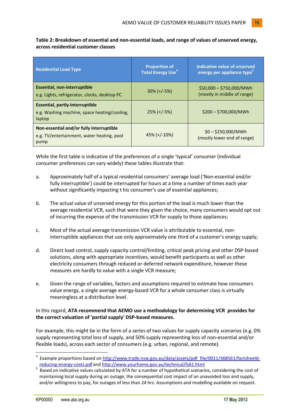| <b>Residential Load Type</b>                                                                     | <b>Proportion of</b><br><b>Total Energy Use<sup>4</sup></b> | Indicative value of unserved<br>energy per appliance type <sup>5</sup> |
|--------------------------------------------------------------------------------------------------|-------------------------------------------------------------|------------------------------------------------------------------------|
| Essential, non-interruptible<br>e.g. Lights, refrigerator, clocks, desktop PC                    | $30\% (+/-5\%)$                                             | $$50,000 - $750,000/MWh$<br>(mostly in middle of range)                |
| <b>Essential, partly-interruptible</b><br>e.g. Washing machine, space heating/cooling,<br>laptop | $25\%$ (+/-5%)                                              | $$200 - $700,000/MWh$                                                  |
| Non-essential and/or fully interruptible<br>e.g. TV/entertainment, water heating, pool<br>pump   | $45\%$ (+/-10%)                                             | $$0 - $250,000/MWh$<br>(mostly lower end of range)                     |

**Table 2: Breakdown of essential and non-essential loads, and range of values of unserved energy, across residential customer classes** 

While the first table is indicative of the preferences of a single 'typical' consumer (individual consumer preferences can vary widely) these tables illustrate that:

- a. Approximately half of a typical residential consumers' average load ('Non-essential *and/or* fully interruptible') could be interrupted for hours at a time a number of times each year without significantly impacting t his consumer's use of essential appliances;
- b. The actual value of unserved energy for this portion of the load is much lower than the average residential VCR, such that were they given the choice, many consumers would opt out of incurring the expense of the transmission VCR for supply to those appliances;
- c. Most of the actual average transmission VCR value is attributable to essential, noninterruptible appliances that use only approximately one third of a customer's energy supply;
- d. Direct load control, supply capacity control/limiting, critical peak pricing and other DSP-based solutions, along with appropriate incentives, would benefit participants as well as other electricity consumers through reduced or deferred network expenditure, however these measures are hardly to value with a single VCR measure;
- e. Given the range of variables, factors and assumptions required to estimate how consumers value energy, a single average energy-based VCR for a whole consumer class is virtually meaningless at a distribution level.

#### In this regard, **ATA recommend that AEMO use a methodology for determining VCR provides for the correct valuation of 'partial supply' DSP-based measures.**

For example, this might be in the form of a series of two values for supply capacity scenarios (e.g. 0% supply representing total loss of supply, and 50% supply representing loss of non-essential and/or flexible loads), across each sector of consumers (e.g. urban, regional, and remote).

**.** 

<sup>&</sup>lt;sup>4</sup> Example proportions based on http://www.trade.nsw.gov.au/data/assets/pdf file/0011/368561/factsheet6[reducing-energy-costs.pdf](http://www.trade.nsw.gov.au/data/assets/pdf_file/0011/368561/factsheet6-reducing-energy-costs.pdf) an[d http://www.yourhome.gov.au/technical/fs61.html](http://www.yourhome.gov.au/technical/fs61.html)

<sup>&</sup>lt;sup>5</sup> Based on indicative values calculated by ATA for a number of hypothetical scenarios, considering the cost of maintaining local supply during an outage, the consequential cost impact of an unavoided loss and supply, and/or willingness to pay, for outages of less than 24 hrs. Assumptions and modelling available on request.